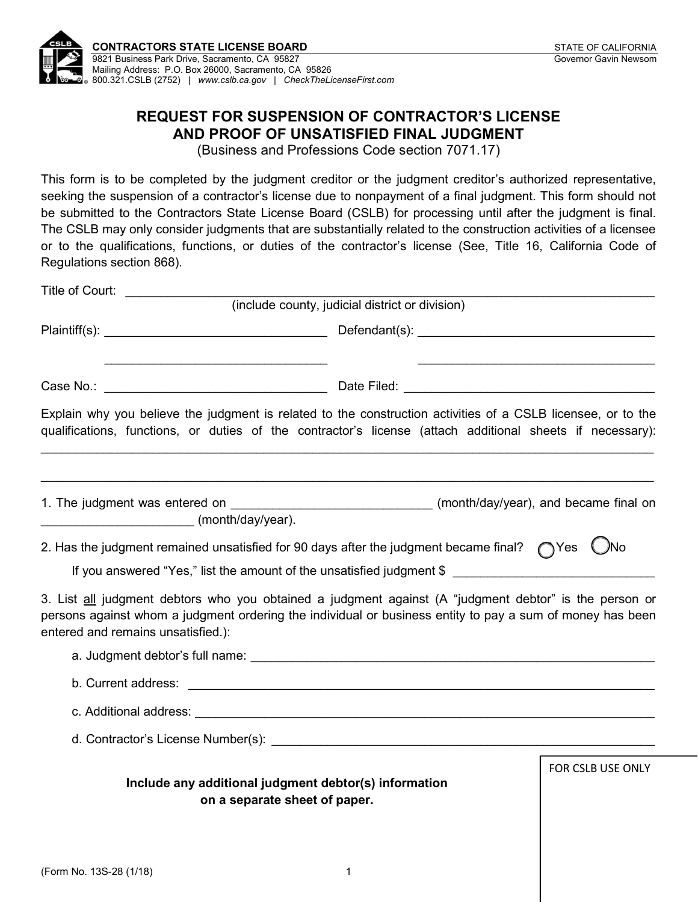

Mailing Address: P.O. Box 26000, Sacramento, CA 95826

800.321.CSLB (2752) | [www.cslb.ca.gov](http://www.cslb.ca.gov) | [CheckTheLicenseFirst.com](http://CheckTheLicenseFirst.com)

## REQUEST FOR SUSPENSION OF CONTRACTOR'S LICENSE AND PROOF OF UNSATISFIED FINAL JUDGMENT

(Business and Professions Code section 7071.17)

This form is to be completed by the judgment creditor or the judgment creditor's authorized representative, seeking the suspension of a contractor's license due to nonpayment of a final judgment. This form should not be submitted to the Contractors State License Board (CSLB) for processing until after the judgment is final. The CSLB may only consider judgments that are substantially related to the construction activities of a licensee or to the qualifications, functions, or duties of the contractor's license (See, Title 16, California Code of Regulations section 868).

| Title of Court:                                                                                                                                                                                                                                           |                                                                                                                       |                        |
|-----------------------------------------------------------------------------------------------------------------------------------------------------------------------------------------------------------------------------------------------------------|-----------------------------------------------------------------------------------------------------------------------|------------------------|
|                                                                                                                                                                                                                                                           | (include county, judicial district or division)                                                                       |                        |
|                                                                                                                                                                                                                                                           |                                                                                                                       |                        |
|                                                                                                                                                                                                                                                           |                                                                                                                       |                        |
| Explain why you believe the judgment is related to the construction activities of a CSLB licensee, or to the<br>qualifications, functions, or duties of the contractor's license (attach additional sheets if necessary):                                 |                                                                                                                       |                        |
| (month/day/year).                                                                                                                                                                                                                                         |                                                                                                                       |                        |
| 2. Has the judgment remained unsatisfied for 90 days after the judgment became final?                                                                                                                                                                     |                                                                                                                       | ( )No<br>$\bigcap$ Yes |
| If you answered "Yes," list the amount of the unsatisfied judgment \$                                                                                                                                                                                     |                                                                                                                       |                        |
| 3. List all judgment debtors who you obtained a judgment against (A "judgment debtor" is the person or<br>persons against whom a judgment ordering the individual or business entity to pay a sum of money has been<br>entered and remains unsatisfied.): |                                                                                                                       |                        |
|                                                                                                                                                                                                                                                           |                                                                                                                       |                        |
| b. Current address:                                                                                                                                                                                                                                       | <u> 1980 - Jan Samuel Barbara, martin da shekara ta 1980 haɗa ta 1980 haɗa ta 1980 haɗa ta 1980 haɗa ta 1980 haɗa</u> |                        |
|                                                                                                                                                                                                                                                           |                                                                                                                       |                        |
|                                                                                                                                                                                                                                                           |                                                                                                                       |                        |
| Include any additional judgment debtor(s) information<br>on a separate sheet of paper.                                                                                                                                                                    |                                                                                                                       | FOR CSLB USE ONLY      |
|                                                                                                                                                                                                                                                           |                                                                                                                       |                        |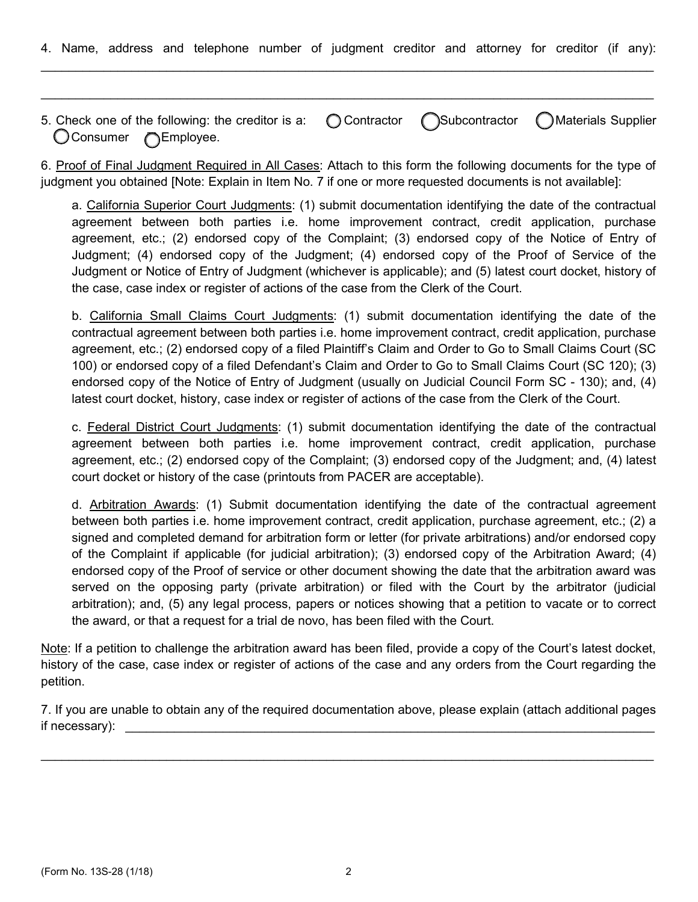4. Name, address and telephone number of judgment creditor and attorney for creditor (if any):  $\mathcal{L}_\mathcal{L} = \mathcal{L}_\mathcal{L} = \mathcal{L}_\mathcal{L} = \mathcal{L}_\mathcal{L} = \mathcal{L}_\mathcal{L} = \mathcal{L}_\mathcal{L} = \mathcal{L}_\mathcal{L} = \mathcal{L}_\mathcal{L} = \mathcal{L}_\mathcal{L} = \mathcal{L}_\mathcal{L} = \mathcal{L}_\mathcal{L} = \mathcal{L}_\mathcal{L} = \mathcal{L}_\mathcal{L} = \mathcal{L}_\mathcal{L} = \mathcal{L}_\mathcal{L} = \mathcal{L}_\mathcal{L} = \mathcal{L}_\mathcal{L}$ 

5. Check one of the following: the creditor is a:  $\bigcap$  Contractor  $\bigcap$ Subcontractor  $\bigcap$ Materials Supplier Consumer 
<del>example</del> Consumer C

 $\_$ 

6. Proof of Final Judgment Required in All Cases: Attach to this form the following documents for the type of judgment you obtained [Note: Explain in Item No. 7 if one or more requested documents is not available]:

a. California Superior Court Judgments: (1) submit documentation identifying the date of the contractual agreement between both parties i.e. home improvement contract, credit application, purchase agreement, etc.; (2) endorsed copy of the Complaint; (3) endorsed copy of the Notice of Entry of Judgment; (4) endorsed copy of the Judgment; (4) endorsed copy of the Proof of Service of the Judgment or Notice of Entry of Judgment (whichever is applicable); and (5) latest court docket, history of the case, case index or register of actions of the case from the Clerk of the Court.

b. California Small Claims Court Judgments: (1) submit documentation identifying the date of the contractual agreement between both parties i.e. home improvement contract, credit application, purchase agreement, etc.; (2) endorsed copy of a filed Plaintiff's Claim and Order to Go to Small Claims Court (SC 100) or endorsed copy of a filed Defendant's Claim and Order to Go to Small Claims Court (SC 120); (3) endorsed copy of the Notice of Entry of Judgment (usually on Judicial Council Form SC - 130); and, (4) latest court docket, history, case index or register of actions of the case from the Clerk of the Court.

c. Federal District Court Judgments: (1) submit documentation identifying the date of the contractual agreement between both parties i.e. home improvement contract, credit application, purchase agreement, etc.; (2) endorsed copy of the Complaint; (3) endorsed copy of the Judgment; and, (4) latest court docket or history of the case (printouts from PACER are acceptable).

d. Arbitration Awards: (1) Submit documentation identifying the date of the contractual agreement between both parties i.e. home improvement contract, credit application, purchase agreement, etc.; (2) a signed and completed demand for arbitration form or letter (for private arbitrations) and/or endorsed copy of the Complaint if applicable (for judicial arbitration); (3) endorsed copy of the Arbitration Award; (4) endorsed copy of the Proof of service or other document showing the date that the arbitration award was served on the opposing party (private arbitration) or filed with the Court by the arbitrator (judicial arbitration); and, (5) any legal process, papers or notices showing that a petition to vacate or to correct the award, or that a request for a trial de novo, has been filed with the Court.

Note: If a petition to challenge the arbitration award has been filed, provide a copy of the Court's latest docket, history of the case, case index or register of actions of the case and any orders from the Court regarding the petition.

7. If you are unable to obtain any of the required documentation above, please explain (attach additional pages if necessary):

 $\_$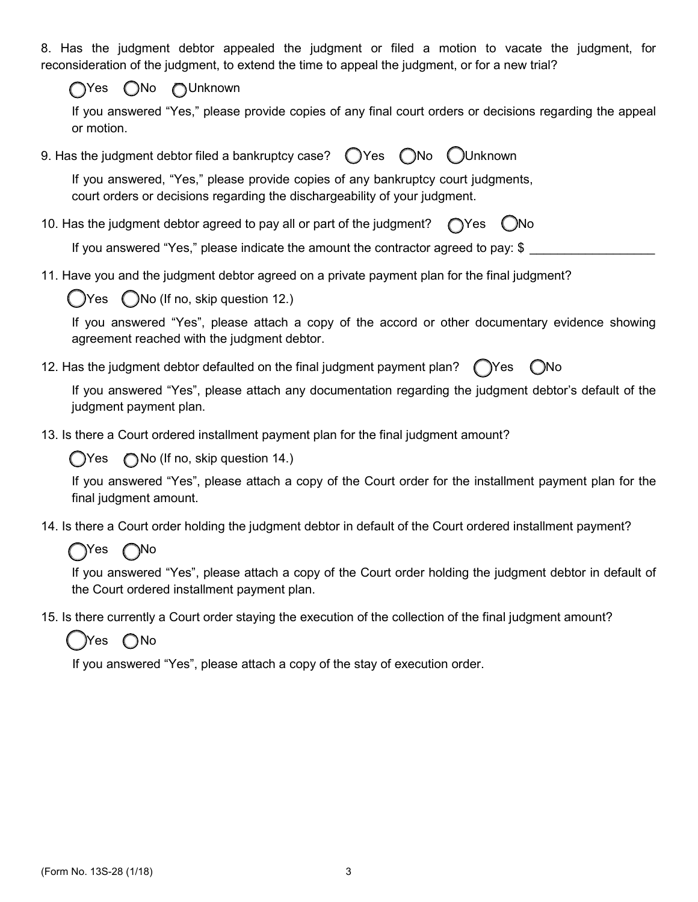8. Has the judgment debtor appealed the judgment or filed a motion to vacate the judgment, for reconsideration of the judgment, to extend the time to appeal the judgment, or for a new trial?

Yes No Unknown

If you answered "Yes," please provide copies of any final court orders or decisions regarding the appeal or motion.

9. Has the judgment debtor filed a bankruptcy case?  $\bigcirc$  Yes  $\bigcirc$  No  $\bigcirc$  Unknown

If you answered, "Yes," please provide copies of any bankruptcy court judgments, court orders or decisions regarding the dischargeability of your judgment.

10. Has the judgment debtor agreed to pay all or part of the judgment?  $\bigcap$ Yes  $\bigcap$ No

If you answered "Yes," please indicate the amount the contractor agreed to pay: \$

11. Have you and the judgment debtor agreed on a private payment plan for the final judgment?

 $\bigcirc$  Yes  $\bigcirc$  No (If no, skip question 12.)

If you answered "Yes", please attach a copy of the accord or other documentary evidence showing agreement reached with the judgment debtor.

12. Has the judgment debtor defaulted on the final judgment payment plan?  $\bigcap$ Yes  $\bigcap$ No

If you answered "Yes", please attach any documentation regarding the judgment debtor's default of the judgment payment plan.

13. Is there a Court ordered installment payment plan for the final judgment amount?

 $Yes \cap$  No (If no, skip question 14.)

If you answered "Yes", please attach a copy of the Court order for the installment payment plan for the final judgment amount.

14. Is there a Court order holding the judgment debtor in default of the Court ordered installment payment?

## ์<br>)Yes ∩No

If you answered "Yes", please attach a copy of the Court order holding the judgment debtor in default of the Court ordered installment payment plan.

15. Is there currently a Court order staying the execution of the collection of the final judgment amount?

)Yes ∩No

If you answered "Yes", please attach a copy of the stay of execution order.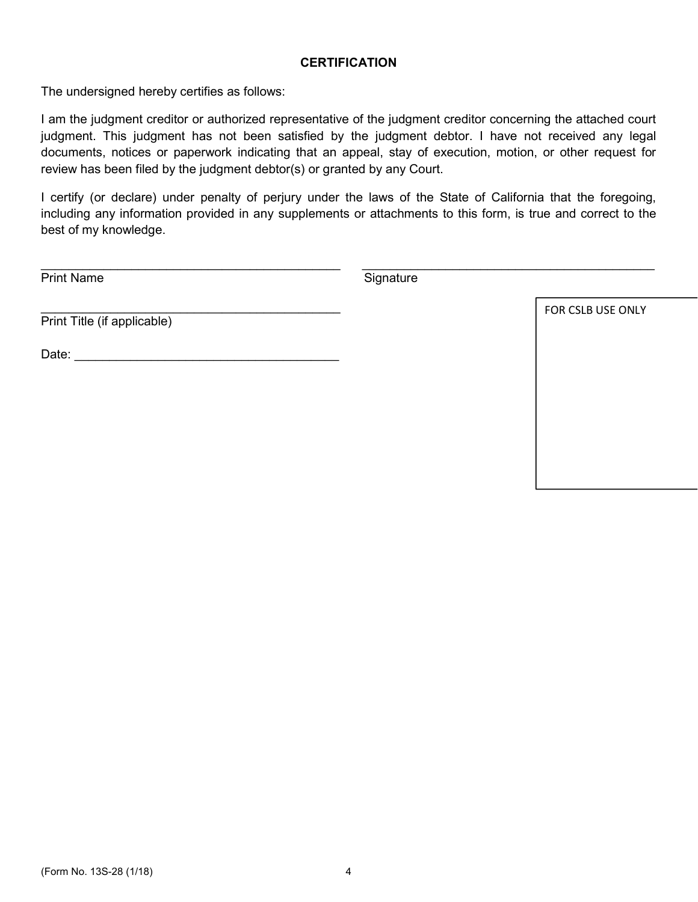## **CERTIFICATION**

The undersigned hereby certifies as follows:

I am the judgment creditor or authorized representative of the judgment creditor concerning the attached court judgment. This judgment has not been satisfied by the judgment debtor. I have not received any legal documents, notices or paperwork indicating that an appeal, stay of execution, motion, or other request for review has been filed by the judgment debtor(s) or granted by any Court.

I certify (or declare) under penalty of perjury under the laws of the State of California that the foregoing, including any information provided in any supplements or attachments to this form, is true and correct to the best of my knowledge.

Print Name

**Signature** 

Print Title (if applicable)

Date: \_\_\_\_\_\_\_\_\_\_\_\_\_\_\_\_\_\_\_\_\_\_\_\_\_\_\_\_\_\_\_\_\_\_\_\_\_\_

 $\mathcal{L}_\text{max}$  , which is a set of the set of the set of the set of the set of the set of the set of the set of the set of the set of the set of the set of the set of the set of the set of the set of the set of the set of

FOR CSLB USE ONLY